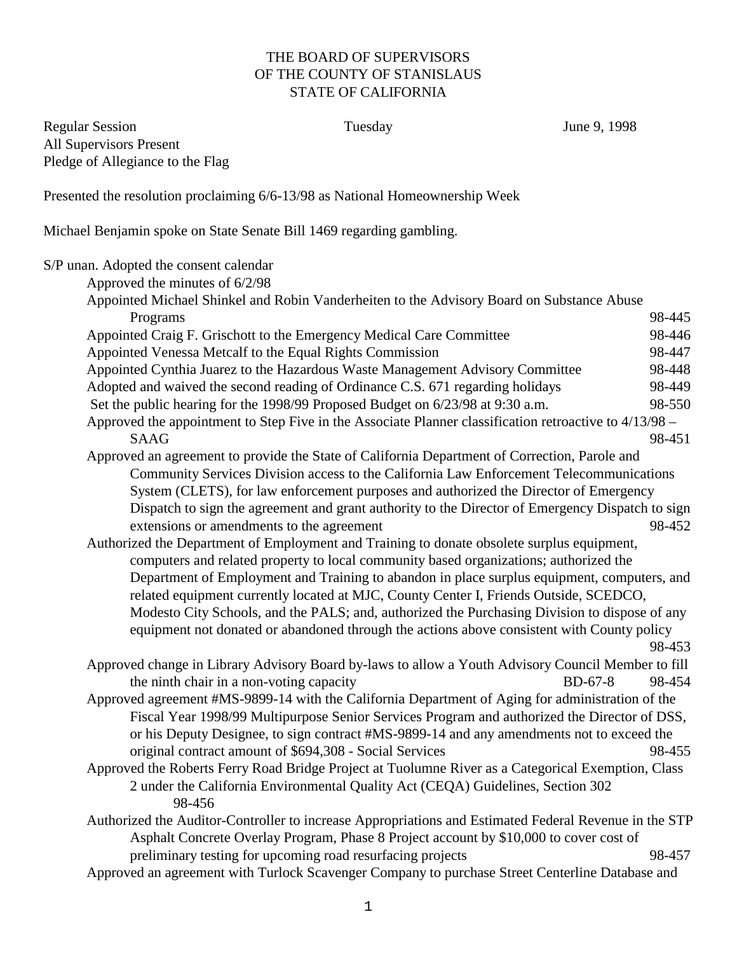## THE BOARD OF SUPERVISORS OF THE COUNTY OF STANISLAUS STATE OF CALIFORNIA

Regular Session **Tuesday** June 9, 1998 All Supervisors Present Pledge of Allegiance to the Flag

Presented the resolution proclaiming 6/6-13/98 as National Homeownership Week

Michael Benjamin spoke on State Senate Bill 1469 regarding gambling.

S/P unan. Adopted the consent calendar Approved the minutes of 6/2/98 Appointed Michael Shinkel and Robin Vanderheiten to the Advisory Board on Substance Abuse Programs 98-445 Appointed Craig F. Grischott to the Emergency Medical Care Committee 98-446 Appointed Venessa Metcalf to the Equal Rights Commission 98-447 Appointed Cynthia Juarez to the Hazardous Waste Management Advisory Committee 98-448 Adopted and waived the second reading of Ordinance C.S. 671 regarding holidays 98-449 Set the public hearing for the 1998/99 Proposed Budget on  $6/23/98$  at 9:30 a.m. 98-550 Approved the appointment to Step Five in the Associate Planner classification retroactive to 4/13/98 –  $SAAG$  98-451 Approved an agreement to provide the State of California Department of Correction, Parole and Community Services Division access to the California Law Enforcement Telecommunications System (CLETS), for law enforcement purposes and authorized the Director of Emergency Dispatch to sign the agreement and grant authority to the Director of Emergency Dispatch to sign extensions or amendments to the agreement 98-452 Authorized the Department of Employment and Training to donate obsolete surplus equipment, computers and related property to local community based organizations; authorized the Department of Employment and Training to abandon in place surplus equipment, computers, and related equipment currently located at MJC, County Center I, Friends Outside, SCEDCO, Modesto City Schools, and the PALS; and, authorized the Purchasing Division to dispose of any equipment not donated or abandoned through the actions above consistent with County policy 98-453 Approved change in Library Advisory Board by-laws to allow a Youth Advisory Council Member to fill the ninth chair in a non-voting capacity BD-67-8 98-454 Approved agreement #MS-9899-14 with the California Department of Aging for administration of the Fiscal Year 1998/99 Multipurpose Senior Services Program and authorized the Director of DSS, or his Deputy Designee, to sign contract #MS-9899-14 and any amendments not to exceed the original contract amount of \$694,308 - Social Services 98-455 Approved the Roberts Ferry Road Bridge Project at Tuolumne River as a Categorical Exemption, Class 2 under the California Environmental Quality Act (CEQA) Guidelines, Section 302 98-456 Authorized the Auditor-Controller to increase Appropriations and Estimated Federal Revenue in the STP Asphalt Concrete Overlay Program, Phase 8 Project account by \$10,000 to cover cost of preliminary testing for upcoming road resurfacing projects 98-457 Approved an agreement with Turlock Scavenger Company to purchase Street Centerline Database and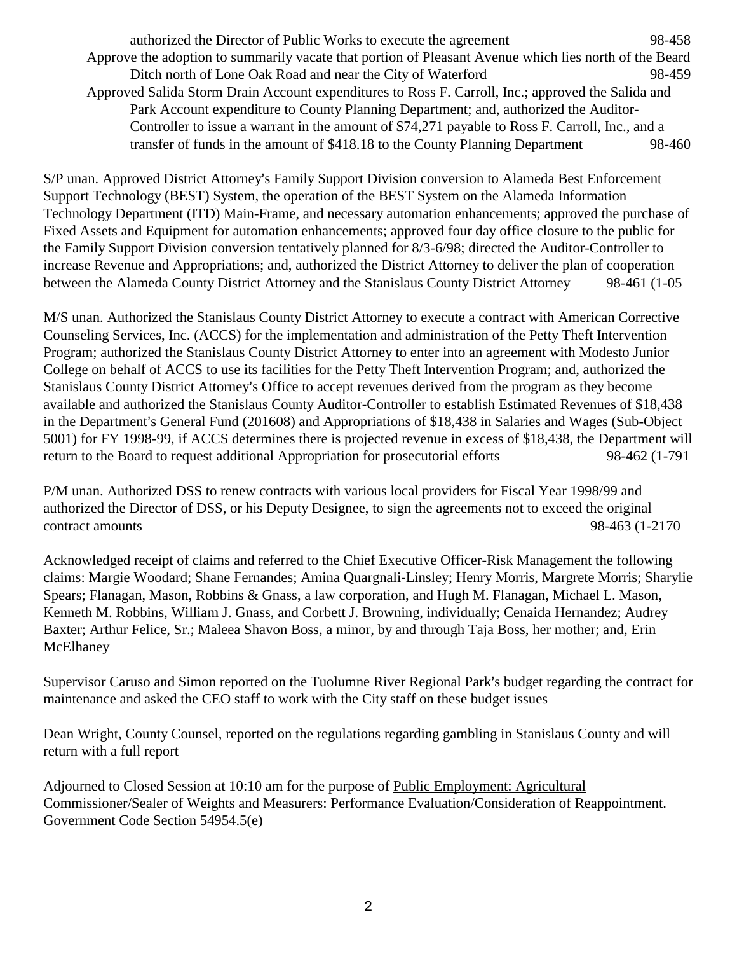authorized the Director of Public Works to execute the agreement 98-458 Approve the adoption to summarily vacate that portion of Pleasant Avenue which lies north of the Beard Ditch north of Lone Oak Road and near the City of Waterford 98-459 Approved Salida Storm Drain Account expenditures to Ross F. Carroll, Inc.; approved the Salida and Park Account expenditure to County Planning Department; and, authorized the Auditor-Controller to issue a warrant in the amount of \$74,271 payable to Ross F. Carroll, Inc., and a transfer of funds in the amount of \$418.18 to the County Planning Department 98-460

S/P unan. Approved District Attorney's Family Support Division conversion to Alameda Best Enforcement Support Technology (BEST) System, the operation of the BEST System on the Alameda Information Technology Department (ITD) Main-Frame, and necessary automation enhancements; approved the purchase of Fixed Assets and Equipment for automation enhancements; approved four day office closure to the public for the Family Support Division conversion tentatively planned for 8/3-6/98; directed the Auditor-Controller to increase Revenue and Appropriations; and, authorized the District Attorney to deliver the plan of cooperation between the Alameda County District Attorney and the Stanislaus County District Attorney 98-461 (1-05

M/S unan. Authorized the Stanislaus County District Attorney to execute a contract with American Corrective Counseling Services, Inc. (ACCS) for the implementation and administration of the Petty Theft Intervention Program; authorized the Stanislaus County District Attorney to enter into an agreement with Modesto Junior College on behalf of ACCS to use its facilities for the Petty Theft Intervention Program; and, authorized the Stanislaus County District Attorney's Office to accept revenues derived from the program as they become available and authorized the Stanislaus County Auditor-Controller to establish Estimated Revenues of \$18,438 in the Department's General Fund (201608) and Appropriations of \$18,438 in Salaries and Wages (Sub-Object 5001) for FY 1998-99, if ACCS determines there is projected revenue in excess of \$18,438, the Department will return to the Board to request additional Appropriation for prosecutorial efforts 98-462 (1-791

P/M unan. Authorized DSS to renew contracts with various local providers for Fiscal Year 1998/99 and authorized the Director of DSS, or his Deputy Designee, to sign the agreements not to exceed the original contract amounts 98-463 (1-2170

Acknowledged receipt of claims and referred to the Chief Executive Officer-Risk Management the following claims: Margie Woodard; Shane Fernandes; Amina Quargnali-Linsley; Henry Morris, Margrete Morris; Sharylie Spears; Flanagan, Mason, Robbins & Gnass, a law corporation, and Hugh M. Flanagan, Michael L. Mason, Kenneth M. Robbins, William J. Gnass, and Corbett J. Browning, individually; Cenaida Hernandez; Audrey Baxter; Arthur Felice, Sr.; Maleea Shavon Boss, a minor, by and through Taja Boss, her mother; and, Erin McElhaney

Supervisor Caruso and Simon reported on the Tuolumne River Regional Park's budget regarding the contract for maintenance and asked the CEO staff to work with the City staff on these budget issues

Dean Wright, County Counsel, reported on the regulations regarding gambling in Stanislaus County and will return with a full report

Adjourned to Closed Session at 10:10 am for the purpose of Public Employment: Agricultural Commissioner/Sealer of Weights and Measurers: Performance Evaluation/Consideration of Reappointment. Government Code Section 54954.5(e)